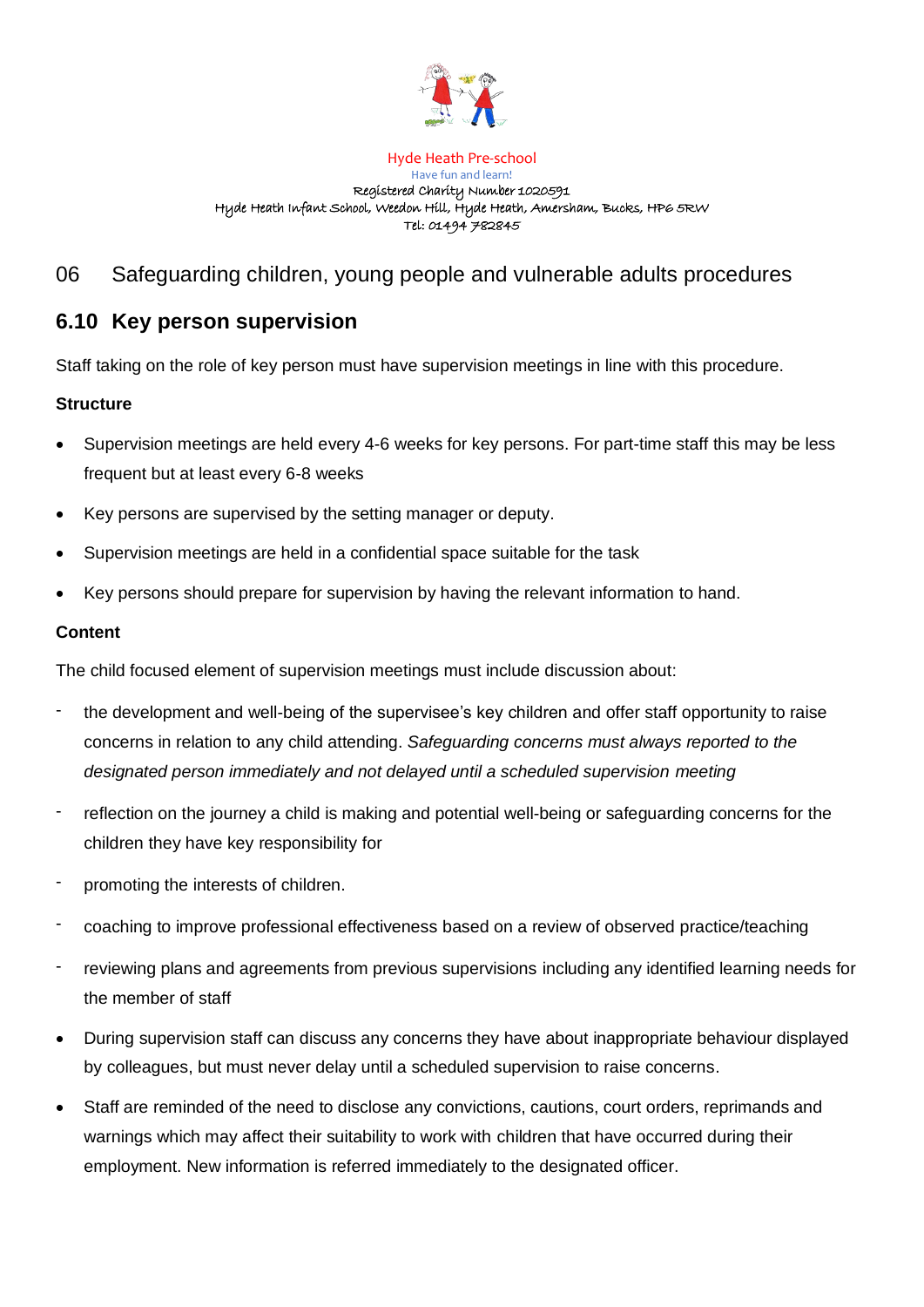

#### Hyde Heath Pre-school

#### Have fun and learn! Registered Charity Number 1020591 Hyde Heath Infant School, Weedon Hill, Hyde Heath, Amersham, Bucks, HP6 5RW Tel: 01494 782845

# 06 Safeguarding children, young people and vulnerable adults procedures

# **6.10 Key person supervision**

Staff taking on the role of key person must have supervision meetings in line with this procedure.

# **Structure**

- Supervision meetings are held every 4-6 weeks for key persons. For part-time staff this may be less frequent but at least every 6-8 weeks
- Key persons are supervised by the setting manager or deputy.
- Supervision meetings are held in a confidential space suitable for the task
- Key persons should prepare for supervision by having the relevant information to hand.

# **Content**

The child focused element of supervision meetings must include discussion about:

- the development and well-being of the supervisee's key children and offer staff opportunity to raise concerns in relation to any child attending. *Safeguarding concerns must always reported to the designated person immediately and not delayed until a scheduled supervision meeting*
- reflection on the journey a child is making and potential well-being or safeguarding concerns for the children they have key responsibility for
- promoting the interests of children.
- coaching to improve professional effectiveness based on a review of observed practice/teaching
- reviewing plans and agreements from previous supervisions including any identified learning needs for the member of staff
- During supervision staff can discuss any concerns they have about inappropriate behaviour displayed by colleagues, but must never delay until a scheduled supervision to raise concerns.
- Staff are reminded of the need to disclose any convictions, cautions, court orders, reprimands and warnings which may affect their suitability to work with children that have occurred during their employment. New information is referred immediately to the designated officer.